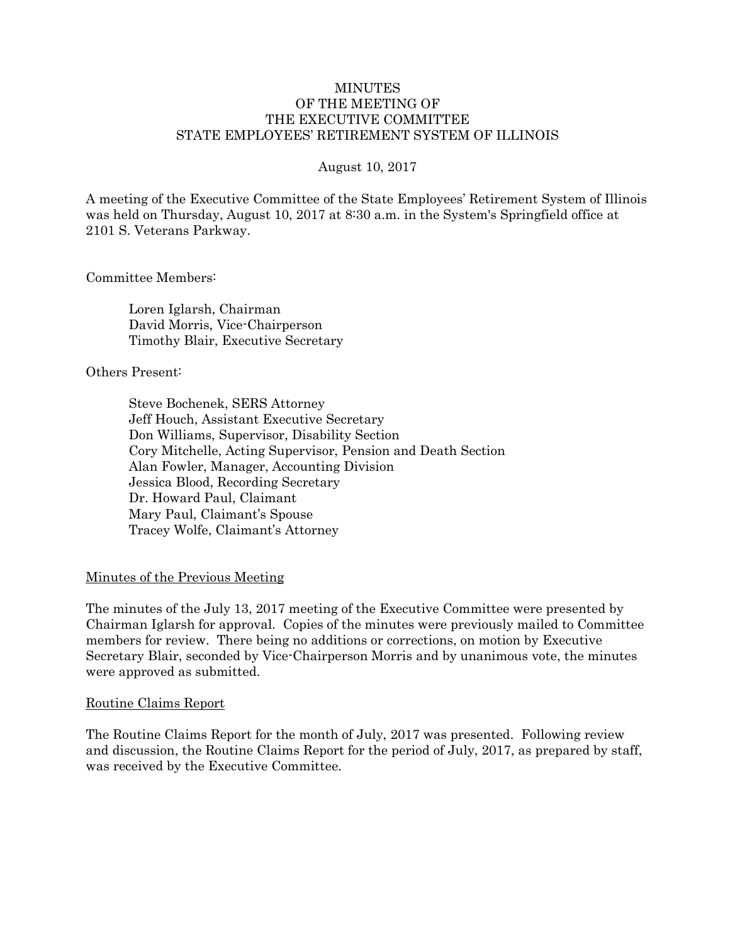#### MINUTES OF THE MEETING OF THE EXECUTIVE COMMITTEE STATE EMPLOYEES' RETIREMENT SYSTEM OF ILLINOIS

#### August 10, 2017

A meeting of the Executive Committee of the State Employees' Retirement System of Illinois was held on Thursday, August 10, 2017 at 8:30 a.m. in the System's Springfield office at 2101 S. Veterans Parkway.

Committee Members:

Loren Iglarsh, Chairman David Morris, Vice-Chairperson Timothy Blair, Executive Secretary

Others Present:

Steve Bochenek, SERS Attorney Jeff Houch, Assistant Executive Secretary Don Williams, Supervisor, Disability Section Cory Mitchelle, Acting Supervisor, Pension and Death Section Alan Fowler, Manager, Accounting Division Jessica Blood, Recording Secretary Dr. Howard Paul, Claimant Mary Paul, Claimant's Spouse Tracey Wolfe, Claimant's Attorney

#### Minutes of the Previous Meeting

The minutes of the July 13, 2017 meeting of the Executive Committee were presented by Chairman Iglarsh for approval. Copies of the minutes were previously mailed to Committee members for review. There being no additions or corrections, on motion by Executive Secretary Blair, seconded by Vice-Chairperson Morris and by unanimous vote, the minutes were approved as submitted.

#### Routine Claims Report

The Routine Claims Report for the month of July, 2017 was presented. Following review and discussion, the Routine Claims Report for the period of July, 2017, as prepared by staff, was received by the Executive Committee.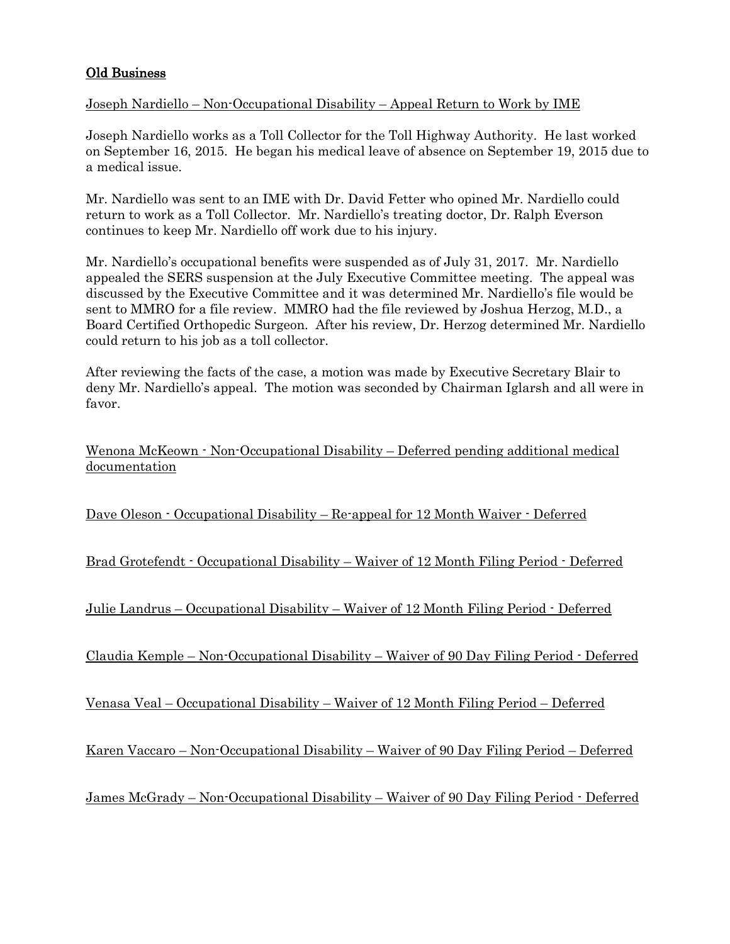# Old Business

## Joseph Nardiello – Non-Occupational Disability – Appeal Return to Work by IME

Joseph Nardiello works as a Toll Collector for the Toll Highway Authority. He last worked on September 16, 2015. He began his medical leave of absence on September 19, 2015 due to a medical issue.

Mr. Nardiello was sent to an IME with Dr. David Fetter who opined Mr. Nardiello could return to work as a Toll Collector. Mr. Nardiello's treating doctor, Dr. Ralph Everson continues to keep Mr. Nardiello off work due to his injury.

Mr. Nardiello's occupational benefits were suspended as of July 31, 2017. Mr. Nardiello appealed the SERS suspension at the July Executive Committee meeting. The appeal was discussed by the Executive Committee and it was determined Mr. Nardiello's file would be sent to MMRO for a file review. MMRO had the file reviewed by Joshua Herzog, M.D., a Board Certified Orthopedic Surgeon. After his review, Dr. Herzog determined Mr. Nardiello could return to his job as a toll collector.

After reviewing the facts of the case, a motion was made by Executive Secretary Blair to deny Mr. Nardiello's appeal. The motion was seconded by Chairman Iglarsh and all were in favor.

Wenona McKeown - Non-Occupational Disability – Deferred pending additional medical documentation

Dave Oleson - Occupational Disability – Re-appeal for 12 Month Waiver - Deferred

Brad Grotefendt - Occupational Disability – Waiver of 12 Month Filing Period - Deferred

Julie Landrus – Occupational Disability – Waiver of 12 Month Filing Period - Deferred

Claudia Kemple – Non-Occupational Disability – Waiver of 90 Day Filing Period - Deferred

Venasa Veal – Occupational Disability – Waiver of 12 Month Filing Period – Deferred

Karen Vaccaro – Non-Occupational Disability – Waiver of 90 Day Filing Period – Deferred

James McGrady – Non-Occupational Disability – Waiver of 90 Day Filing Period - Deferred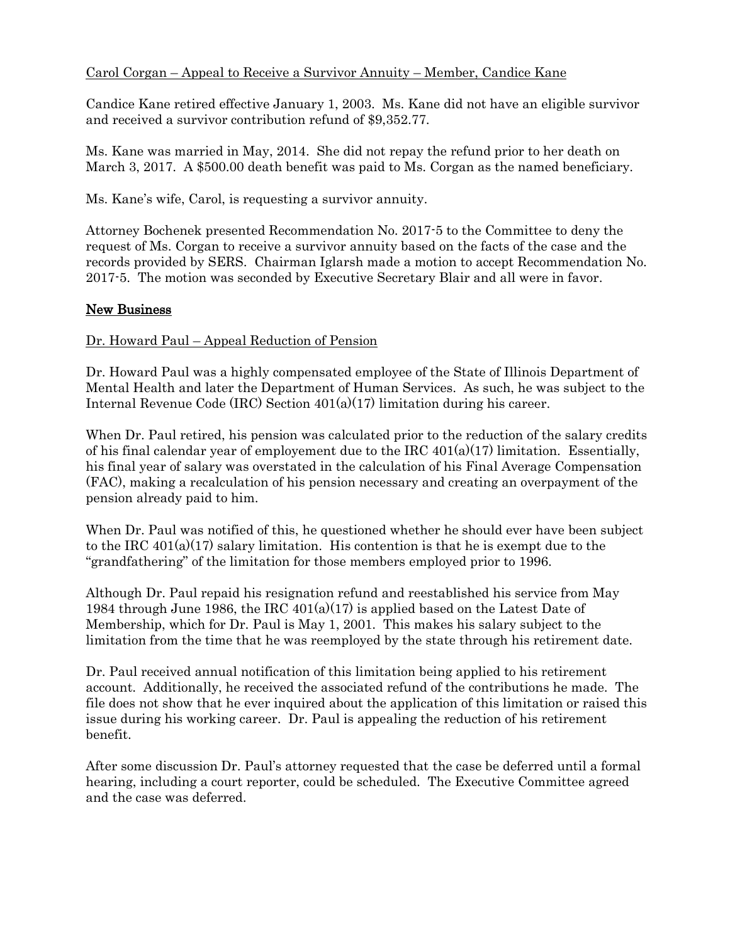# Carol Corgan – Appeal to Receive a Survivor Annuity – Member, Candice Kane

Candice Kane retired effective January 1, 2003. Ms. Kane did not have an eligible survivor and received a survivor contribution refund of \$9,352.77.

Ms. Kane was married in May, 2014. She did not repay the refund prior to her death on March 3, 2017. A \$500.00 death benefit was paid to Ms. Corgan as the named beneficiary.

Ms. Kane's wife, Carol, is requesting a survivor annuity.

Attorney Bochenek presented Recommendation No. 2017-5 to the Committee to deny the request of Ms. Corgan to receive a survivor annuity based on the facts of the case and the records provided by SERS. Chairman Iglarsh made a motion to accept Recommendation No. 2017-5. The motion was seconded by Executive Secretary Blair and all were in favor.

#### New Business

#### Dr. Howard Paul – Appeal Reduction of Pension

Dr. Howard Paul was a highly compensated employee of the State of Illinois Department of Mental Health and later the Department of Human Services. As such, he was subject to the Internal Revenue Code (IRC) Section 401(a)(17) limitation during his career.

When Dr. Paul retired, his pension was calculated prior to the reduction of the salary credits of his final calendar year of employement due to the IRC  $401(a)(17)$  limitation. Essentially, his final year of salary was overstated in the calculation of his Final Average Compensation (FAC), making a recalculation of his pension necessary and creating an overpayment of the pension already paid to him.

When Dr. Paul was notified of this, he questioned whether he should ever have been subject to the IRC  $401(a)(17)$  salary limitation. His contention is that he is exempt due to the "grandfathering" of the limitation for those members employed prior to 1996.

Although Dr. Paul repaid his resignation refund and reestablished his service from May 1984 through June 1986, the IRC  $401(a)(17)$  is applied based on the Latest Date of Membership, which for Dr. Paul is May 1, 2001. This makes his salary subject to the limitation from the time that he was reemployed by the state through his retirement date.

Dr. Paul received annual notification of this limitation being applied to his retirement account. Additionally, he received the associated refund of the contributions he made. The file does not show that he ever inquired about the application of this limitation or raised this issue during his working career. Dr. Paul is appealing the reduction of his retirement benefit.

After some discussion Dr. Paul's attorney requested that the case be deferred until a formal hearing, including a court reporter, could be scheduled. The Executive Committee agreed and the case was deferred.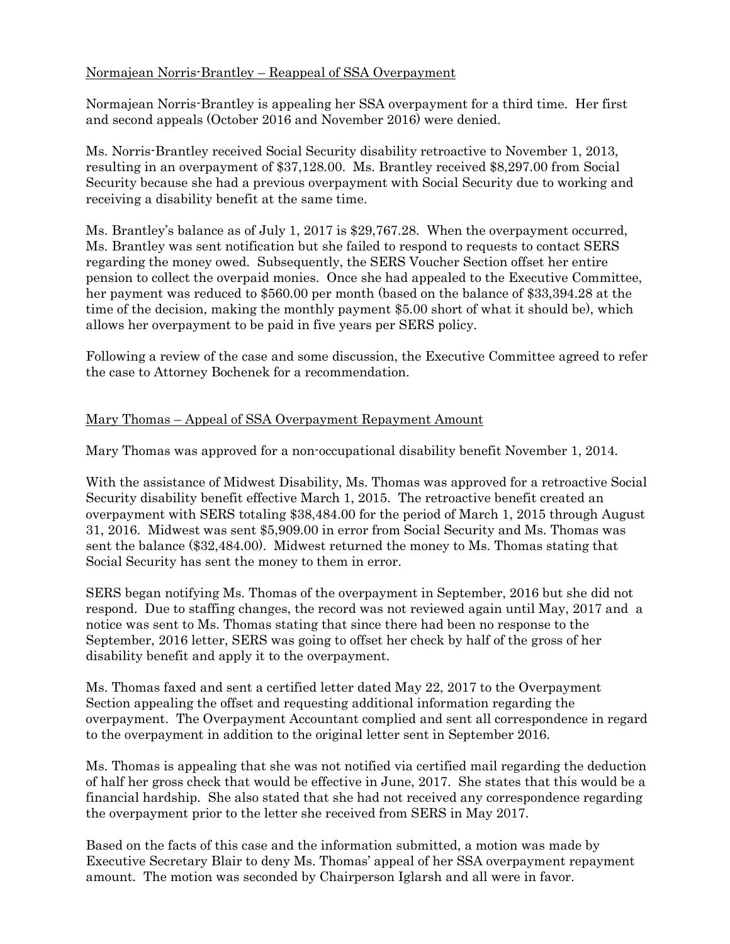# Normajean Norris-Brantley – Reappeal of SSA Overpayment

Normajean Norris-Brantley is appealing her SSA overpayment for a third time. Her first and second appeals (October 2016 and November 2016) were denied.

Ms. Norris-Brantley received Social Security disability retroactive to November 1, 2013, resulting in an overpayment of \$37,128.00. Ms. Brantley received \$8,297.00 from Social Security because she had a previous overpayment with Social Security due to working and receiving a disability benefit at the same time.

Ms. Brantley's balance as of July 1, 2017 is \$29,767.28. When the overpayment occurred, Ms. Brantley was sent notification but she failed to respond to requests to contact SERS regarding the money owed. Subsequently, the SERS Voucher Section offset her entire pension to collect the overpaid monies. Once she had appealed to the Executive Committee, her payment was reduced to \$560.00 per month (based on the balance of \$33,394.28 at the time of the decision, making the monthly payment \$5.00 short of what it should be), which allows her overpayment to be paid in five years per SERS policy.

Following a review of the case and some discussion, the Executive Committee agreed to refer the case to Attorney Bochenek for a recommendation.

# Mary Thomas – Appeal of SSA Overpayment Repayment Amount

Mary Thomas was approved for a non-occupational disability benefit November 1, 2014.

With the assistance of Midwest Disability, Ms. Thomas was approved for a retroactive Social Security disability benefit effective March 1, 2015. The retroactive benefit created an overpayment with SERS totaling \$38,484.00 for the period of March 1, 2015 through August 31, 2016. Midwest was sent \$5,909.00 in error from Social Security and Ms. Thomas was sent the balance (\$32,484.00). Midwest returned the money to Ms. Thomas stating that Social Security has sent the money to them in error.

SERS began notifying Ms. Thomas of the overpayment in September, 2016 but she did not respond. Due to staffing changes, the record was not reviewed again until May, 2017 and a notice was sent to Ms. Thomas stating that since there had been no response to the September, 2016 letter, SERS was going to offset her check by half of the gross of her disability benefit and apply it to the overpayment.

Ms. Thomas faxed and sent a certified letter dated May 22, 2017 to the Overpayment Section appealing the offset and requesting additional information regarding the overpayment. The Overpayment Accountant complied and sent all correspondence in regard to the overpayment in addition to the original letter sent in September 2016.

Ms. Thomas is appealing that she was not notified via certified mail regarding the deduction of half her gross check that would be effective in June, 2017. She states that this would be a financial hardship. She also stated that she had not received any correspondence regarding the overpayment prior to the letter she received from SERS in May 2017.

Based on the facts of this case and the information submitted, a motion was made by Executive Secretary Blair to deny Ms. Thomas' appeal of her SSA overpayment repayment amount. The motion was seconded by Chairperson Iglarsh and all were in favor.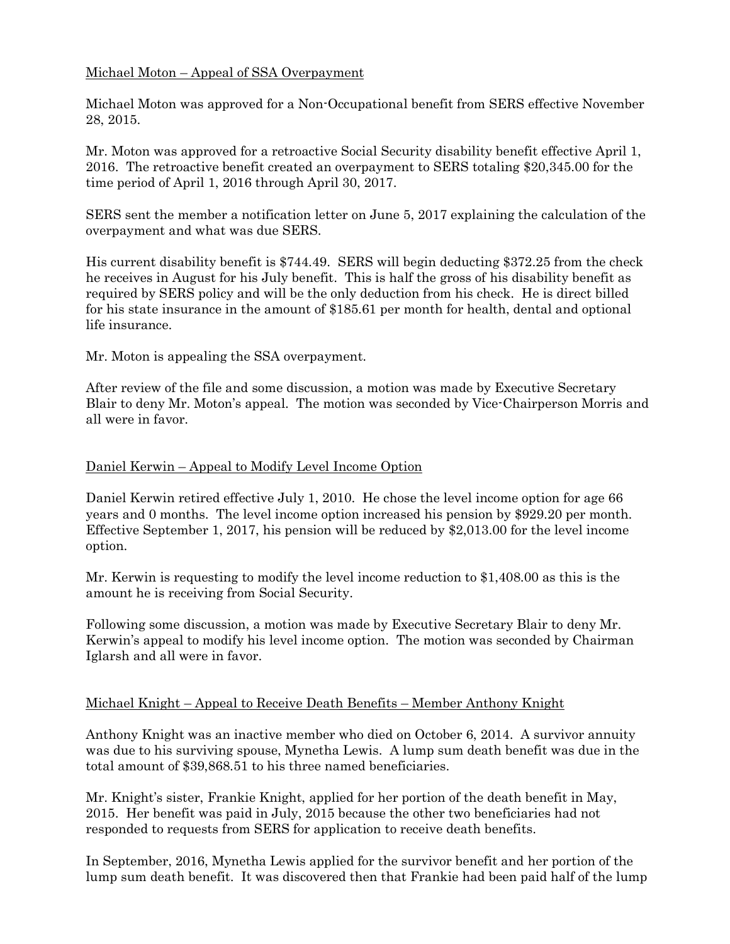# Michael Moton – Appeal of SSA Overpayment

Michael Moton was approved for a Non-Occupational benefit from SERS effective November 28, 2015.

Mr. Moton was approved for a retroactive Social Security disability benefit effective April 1, 2016. The retroactive benefit created an overpayment to SERS totaling \$20,345.00 for the time period of April 1, 2016 through April 30, 2017.

SERS sent the member a notification letter on June 5, 2017 explaining the calculation of the overpayment and what was due SERS.

His current disability benefit is \$744.49. SERS will begin deducting \$372.25 from the check he receives in August for his July benefit. This is half the gross of his disability benefit as required by SERS policy and will be the only deduction from his check. He is direct billed for his state insurance in the amount of \$185.61 per month for health, dental and optional life insurance.

Mr. Moton is appealing the SSA overpayment.

After review of the file and some discussion, a motion was made by Executive Secretary Blair to deny Mr. Moton's appeal. The motion was seconded by Vice-Chairperson Morris and all were in favor.

### Daniel Kerwin – Appeal to Modify Level Income Option

Daniel Kerwin retired effective July 1, 2010. He chose the level income option for age 66 years and 0 months. The level income option increased his pension by \$929.20 per month. Effective September 1, 2017, his pension will be reduced by \$2,013.00 for the level income option.

Mr. Kerwin is requesting to modify the level income reduction to \$1,408.00 as this is the amount he is receiving from Social Security.

Following some discussion, a motion was made by Executive Secretary Blair to deny Mr. Kerwin's appeal to modify his level income option. The motion was seconded by Chairman Iglarsh and all were in favor.

## Michael Knight – Appeal to Receive Death Benefits – Member Anthony Knight

Anthony Knight was an inactive member who died on October 6, 2014. A survivor annuity was due to his surviving spouse, Mynetha Lewis. A lump sum death benefit was due in the total amount of \$39,868.51 to his three named beneficiaries.

Mr. Knight's sister, Frankie Knight, applied for her portion of the death benefit in May, 2015. Her benefit was paid in July, 2015 because the other two beneficiaries had not responded to requests from SERS for application to receive death benefits.

In September, 2016, Mynetha Lewis applied for the survivor benefit and her portion of the lump sum death benefit. It was discovered then that Frankie had been paid half of the lump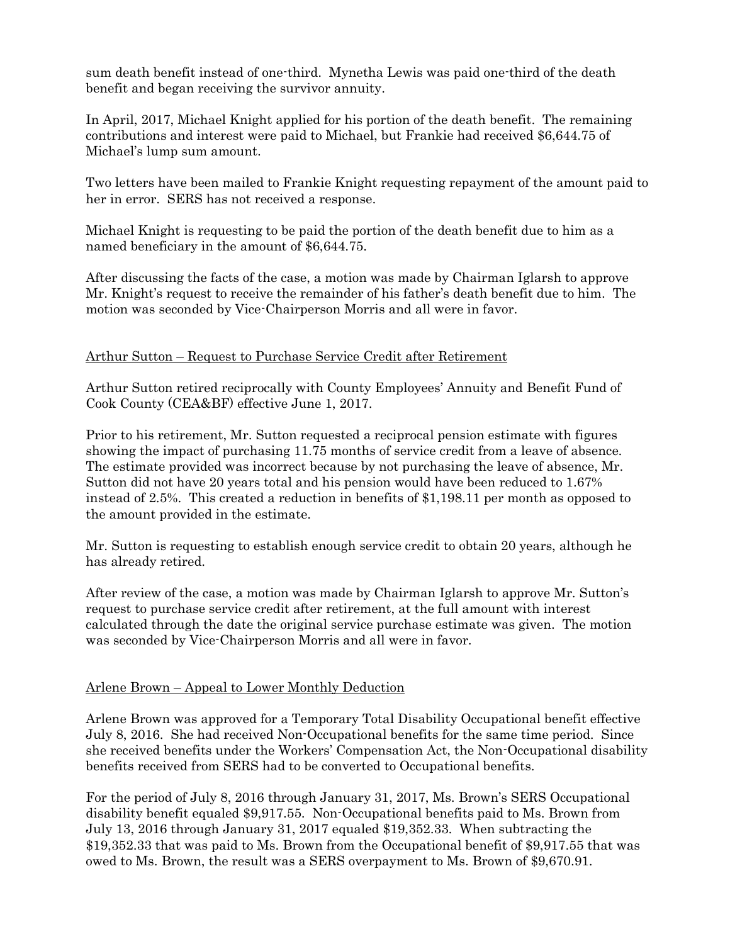sum death benefit instead of one-third. Mynetha Lewis was paid one-third of the death benefit and began receiving the survivor annuity.

In April, 2017, Michael Knight applied for his portion of the death benefit. The remaining contributions and interest were paid to Michael, but Frankie had received \$6,644.75 of Michael's lump sum amount.

Two letters have been mailed to Frankie Knight requesting repayment of the amount paid to her in error. SERS has not received a response.

Michael Knight is requesting to be paid the portion of the death benefit due to him as a named beneficiary in the amount of \$6,644.75.

After discussing the facts of the case, a motion was made by Chairman Iglarsh to approve Mr. Knight's request to receive the remainder of his father's death benefit due to him. The motion was seconded by Vice-Chairperson Morris and all were in favor.

## Arthur Sutton – Request to Purchase Service Credit after Retirement

Arthur Sutton retired reciprocally with County Employees' Annuity and Benefit Fund of Cook County (CEA&BF) effective June 1, 2017.

Prior to his retirement, Mr. Sutton requested a reciprocal pension estimate with figures showing the impact of purchasing 11.75 months of service credit from a leave of absence. The estimate provided was incorrect because by not purchasing the leave of absence, Mr. Sutton did not have 20 years total and his pension would have been reduced to 1.67% instead of 2.5%. This created a reduction in benefits of \$1,198.11 per month as opposed to the amount provided in the estimate.

Mr. Sutton is requesting to establish enough service credit to obtain 20 years, although he has already retired.

After review of the case, a motion was made by Chairman Iglarsh to approve Mr. Sutton's request to purchase service credit after retirement, at the full amount with interest calculated through the date the original service purchase estimate was given. The motion was seconded by Vice-Chairperson Morris and all were in favor.

## Arlene Brown – Appeal to Lower Monthly Deduction

Arlene Brown was approved for a Temporary Total Disability Occupational benefit effective July 8, 2016. She had received Non-Occupational benefits for the same time period. Since she received benefits under the Workers' Compensation Act, the Non-Occupational disability benefits received from SERS had to be converted to Occupational benefits.

For the period of July 8, 2016 through January 31, 2017, Ms. Brown's SERS Occupational disability benefit equaled \$9,917.55. Non-Occupational benefits paid to Ms. Brown from July 13, 2016 through January 31, 2017 equaled \$19,352.33. When subtracting the \$19,352.33 that was paid to Ms. Brown from the Occupational benefit of \$9,917.55 that was owed to Ms. Brown, the result was a SERS overpayment to Ms. Brown of \$9,670.91.